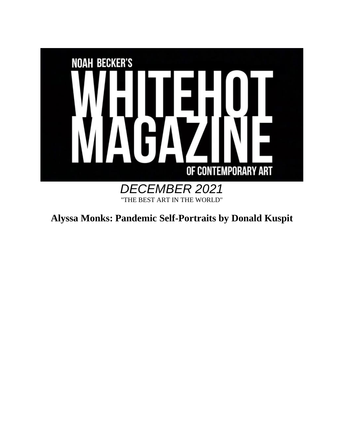

**Alyssa Monks: Pandemic Self-Portraits by Donald Kuspit**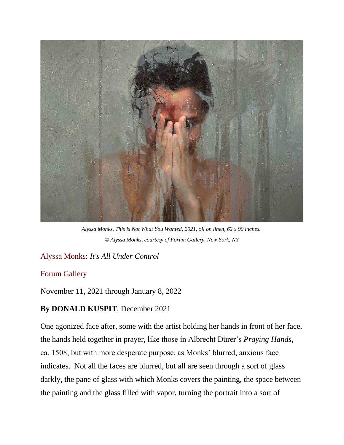

*Alyssa Monks, This is Not What You Wanted, 2021, oil on linen, 62 x 90 inches. © Alyssa Monks, courtesy of Forum Gallery, New York, NY*

## [Alyssa Monks:](https://www.alyssamonks.com/) *It's All Under Control*

## [Forum Gallery](https://www.forumgallery.com/)

November 11, 2021 through January 8, 2022

## **By DONALD KUSPIT**, December 2021

One agonized face after, some with the artist holding her hands in front of her face, the hands held together in prayer, like those in Albrecht Dürer's *Praying Hands*, ca. 1508, but with more desperate purpose, as Monks' blurred, anxious face indicates. Not all the faces are blurred, but all are seen through a sort of glass darkly, the pane of glass with which Monks covers the painting, the space between the painting and the glass filled with vapor, turning the portrait into a sort of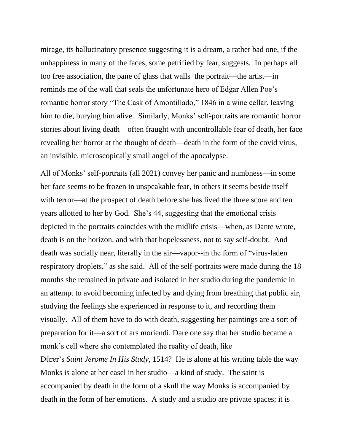mirage, its hallucinatory presence suggesting it is a dream, a rather bad one, if the unhappiness in many of the faces, some petrified by fear, suggests. In perhaps all too free association, the pane of glass that walls the portrait—the artist—in reminds me of the wall that seals the unfortunate hero of Edgar Allen Poe's romantic horror story "The Cask of Amontillado," 1846 in a wine cellar, leaving him to die, burying him alive. Similarly, Monks' self-portraits are romantic horror stories about living death—often fraught with uncontrollable fear of death, her face revealing her horror at the thought of death—death in the form of the covid virus, an invisible, microscopically small angel of the apocalypse.

All of Monks' self-portraits (all 2021) convey her panic and numbness—in some her face seems to be frozen in unspeakable fear, in others it seems beside itself with terror—at the prospect of death before she has lived the three score and ten years allotted to her by God. She's 44, suggesting that the emotional crisis depicted in the portraits coincides with the midlife crisis—when, as Dante wrote, death is on the horizon, and with that hopelessness, not to say self-doubt. And death was socially near, literally in the air—vapor--in the form of "virus-laden respiratory droplets," as she said. All of the self-portraits were made during the 18 months she remained in private and isolated in her studio during the pandemic in an attempt to avoid becoming infected by and dying from breathing that public air, studying the feelings she experienced in response to it, and recording them visually. All of them have to do with death, suggesting her paintings are a sort of preparation for it—a sort of ars moriendi. Dare one say that her studio became a monk's cell where she contemplated the reality of death, like Dürer's *Saint Jerome In His Study*, 1514? He is alone at his writing table the way

Monks is alone at her easel in her studio—a kind of study. The saint is accompanied by death in the form of a skull the way Monks is accompanied by death in the form of her emotions. A study and a studio are private spaces; it is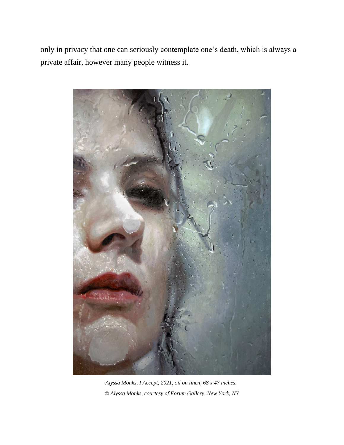only in privacy that one can seriously contemplate one's death, which is always a private affair, however many people witness it.



*Alyssa Monks, I Accept, 2021, oil on linen, 68 x 47 inches. © Alyssa Monks, courtesy of Forum Gallery, New York, NY*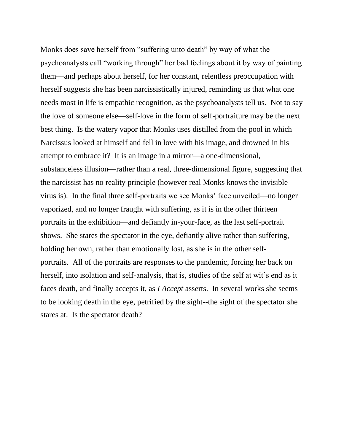Monks does save herself from "suffering unto death" by way of what the psychoanalysts call "working through" her bad feelings about it by way of painting them—and perhaps about herself, for her constant, relentless preoccupation with herself suggests she has been narcissistically injured, reminding us that what one needs most in life is empathic recognition, as the psychoanalysts tell us. Not to say the love of someone else—self-love in the form of self-portraiture may be the next best thing. Is the watery vapor that Monks uses distilled from the pool in which Narcissus looked at himself and fell in love with his image, and drowned in his attempt to embrace it? It is an image in a mirror—a one-dimensional, substanceless illusion—rather than a real, three-dimensional figure, suggesting that the narcissist has no reality principle (however real Monks knows the invisible virus is). In the final three self-portraits we see Monks' face unveiled—no longer vaporized, and no longer fraught with suffering, as it is in the other thirteen portraits in the exhibition—and defiantly in-your-face, as the last self-portrait shows. She stares the spectator in the eye, defiantly alive rather than suffering, holding her own, rather than emotionally lost, as she is in the other selfportraits. All of the portraits are responses to the pandemic, forcing her back on herself, into isolation and self-analysis, that is, studies of the self at wit's end as it faces death, and finally accepts it, as *I Accept* asserts. In several works she seems to be looking death in the eye, petrified by the sight--the sight of the spectator she stares at. Is the spectator death?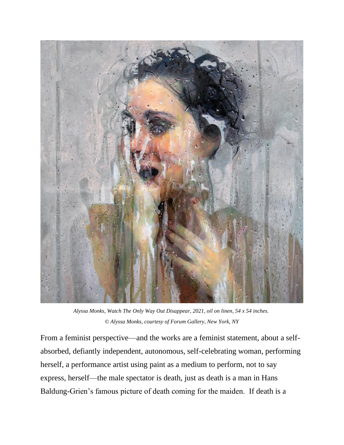

*Alyssa Monks, Watch The Only Way Out Disappear, 2021, oil on linen, 54 x 54 inches. © Alyssa Monks, courtesy of Forum Gallery, New York, NY*

From a feminist perspective—and the works are a feminist statement, about a selfabsorbed, defiantly independent, autonomous, self-celebrating woman, performing herself, a performance artist using paint as a medium to perform, not to say express, herself—the male spectator is death, just as death is a man in Hans Baldung-Grien's famous picture of death coming for the maiden. If death is a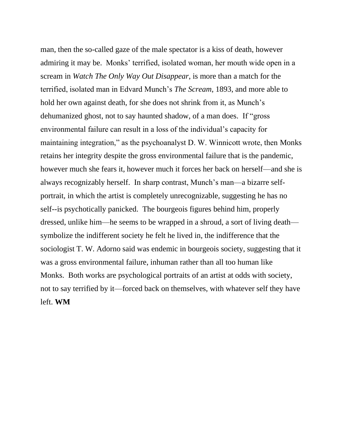man, then the so-called gaze of the male spectator is a kiss of death, however admiring it may be. Monks' terrified, isolated woman, her mouth wide open in a scream in *Watch The Only Way Out Disappear*, is more than a match for the terrified, isolated man in Edvard Munch's *The Scream*, 1893, and more able to hold her own against death, for she does not shrink from it, as Munch's dehumanized ghost, not to say haunted shadow, of a man does. If "gross environmental failure can result in a loss of the individual's capacity for maintaining integration," as the psychoanalyst D. W. Winnicott wrote, then Monks retains her integrity despite the gross environmental failure that is the pandemic, however much she fears it, however much it forces her back on herself—and she is always recognizably herself. In sharp contrast, Munch's man—a bizarre selfportrait, in which the artist is completely unrecognizable, suggesting he has no self--is psychotically panicked. The bourgeois figures behind him, properly dressed, unlike him—he seems to be wrapped in a shroud, a sort of living death symbolize the indifferent society he felt he lived in, the indifference that the sociologist T. W. Adorno said was endemic in bourgeois society, suggesting that it was a gross environmental failure, inhuman rather than all too human like Monks. Both works are psychological portraits of an artist at odds with society, not to say terrified by it—forced back on themselves, with whatever self they have left. **WM**